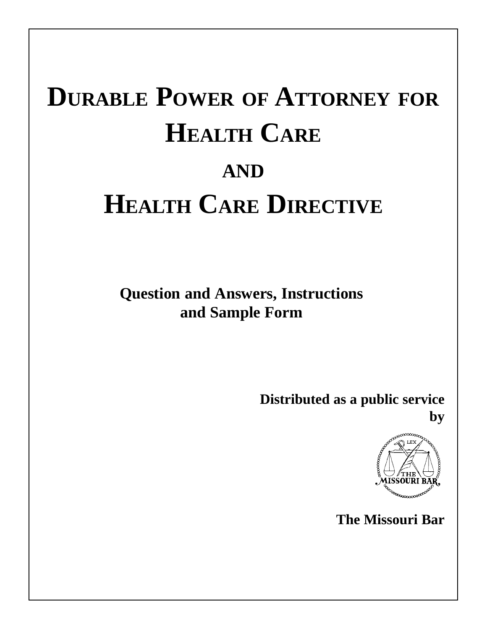## **DURABLE POWER OF ATTORNEY FOR HEALTH CARE AND HEALTH CARE DIRECTIVE**

**Question and Answers, Instructions and Sample Form**

> **Distributed as a public service by**



**The Missouri Bar**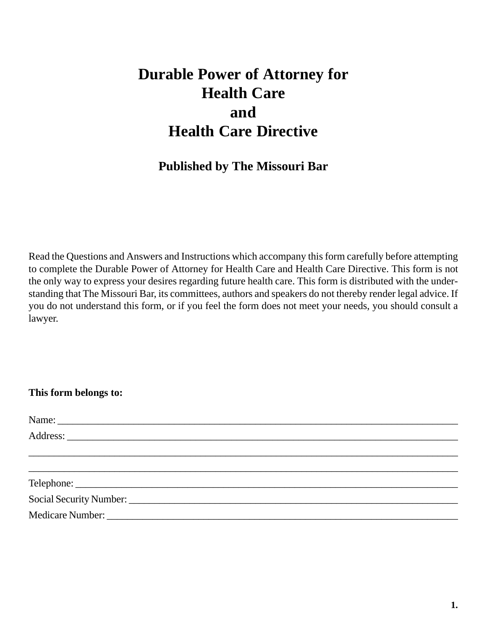## **Durable Power of Attorney for Health Care and Health Care Directive**

#### **Published by The Missouri Bar**

Read the Questions and Answers and Instructions which accompany this form carefully before attempting to complete the Durable Power of Attorney for Health Care and Health Care Directive. This form is not the only way to express your desires regarding future health care. This form is distributed with the understanding that The Missouri Bar, its committees, authors and speakers do not thereby render legal advice. If you do not understand this form, or if you feel the form does not meet your needs, you should consult a lawyer.

| This form belongs to: |  |
|-----------------------|--|
| Name:                 |  |
|                       |  |
|                       |  |
|                       |  |
|                       |  |
|                       |  |
|                       |  |
|                       |  |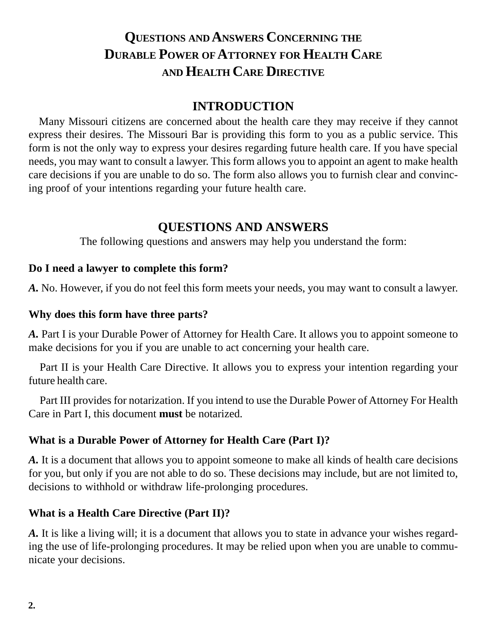## **QUESTIONS AND ANSWERS CONCERNING THE DURABLE POWER OF ATTORNEY FOR HEALTH CARE AND HEALTH CARE DIRECTIVE**

#### **INTRODUCTION**

Many Missouri citizens are concerned about the health care they may receive if they cannot express their desires. The Missouri Bar is providing this form to you as a public service. This form is not the only way to express your desires regarding future health care. If you have special needs, you may want to consult a lawyer. This form allows you to appoint an agent to make health care decisions if you are unable to do so. The form also allows you to furnish clear and convincing proof of your intentions regarding your future health care.

#### **QUESTIONS AND ANSWERS**

The following questions and answers may help you understand the form:

#### **Do I need a lawyer to complete this form?**

*A.* No. However, if you do not feel this form meets your needs, you may want to consult a lawyer.

#### **Why does this form have three parts?**

*A.* Part I is your Durable Power of Attorney for Health Care. It allows you to appoint someone to make decisions for you if you are unable to act concerning your health care.

Part II is your Health Care Directive. It allows you to express your intention regarding your future health care.

Part III provides for notarization. If you intend to use the Durable Power of Attorney For Health Care in Part I, this document **must** be notarized.

#### **What is a Durable Power of Attorney for Health Care (Part I)?**

*A.* It is a document that allows you to appoint someone to make all kinds of health care decisions for you, but only if you are not able to do so. These decisions may include, but are not limited to, decisions to withhold or withdraw life-prolonging procedures.

#### **What is a Health Care Directive (Part II)?**

*A.* It is like a living will; it is a document that allows you to state in advance your wishes regarding the use of life-prolonging procedures. It may be relied upon when you are unable to communicate your decisions.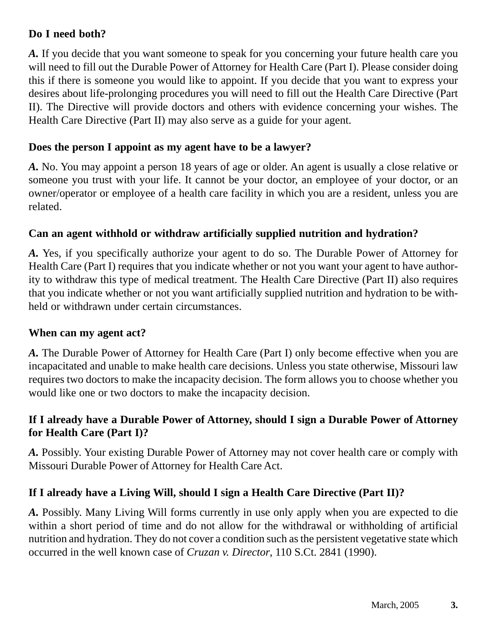#### **Do I need both?**

*A.* If you decide that you want someone to speak for you concerning your future health care you will need to fill out the Durable Power of Attorney for Health Care (Part I). Please consider doing this if there is someone you would like to appoint. If you decide that you want to express your desires about life-prolonging procedures you will need to fill out the Health Care Directive (Part II). The Directive will provide doctors and others with evidence concerning your wishes. The Health Care Directive (Part II) may also serve as a guide for your agent.

#### **Does the person I appoint as my agent have to be a lawyer?**

*A.* No. You may appoint a person 18 years of age or older. An agent is usually a close relative or someone you trust with your life. It cannot be your doctor, an employee of your doctor, or an owner/operator or employee of a health care facility in which you are a resident, unless you are related.

#### **Can an agent withhold or withdraw artificially supplied nutrition and hydration?**

*A.* Yes, if you specifically authorize your agent to do so. The Durable Power of Attorney for Health Care (Part I) requires that you indicate whether or not you want your agent to have authority to withdraw this type of medical treatment. The Health Care Directive (Part II) also requires that you indicate whether or not you want artificially supplied nutrition and hydration to be withheld or withdrawn under certain circumstances.

#### **When can my agent act?**

*A.* The Durable Power of Attorney for Health Care (Part I) only become effective when you are incapacitated and unable to make health care decisions. Unless you state otherwise, Missouri law requires two doctors to make the incapacity decision. The form allows you to choose whether you would like one or two doctors to make the incapacity decision.

#### **If I already have a Durable Power of Attorney, should I sign a Durable Power of Attorney for Health Care (Part I)?**

*A.* Possibly. Your existing Durable Power of Attorney may not cover health care or comply with Missouri Durable Power of Attorney for Health Care Act.

#### **If I already have a Living Will, should I sign a Health Care Directive (Part II)?**

*A.* Possibly. Many Living Will forms currently in use only apply when you are expected to die within a short period of time and do not allow for the withdrawal or withholding of artificial nutrition and hydration. They do not cover a condition such as the persistent vegetative state which occurred in the well known case of *Cruzan v. Director*, 110 S.Ct. 2841 (1990).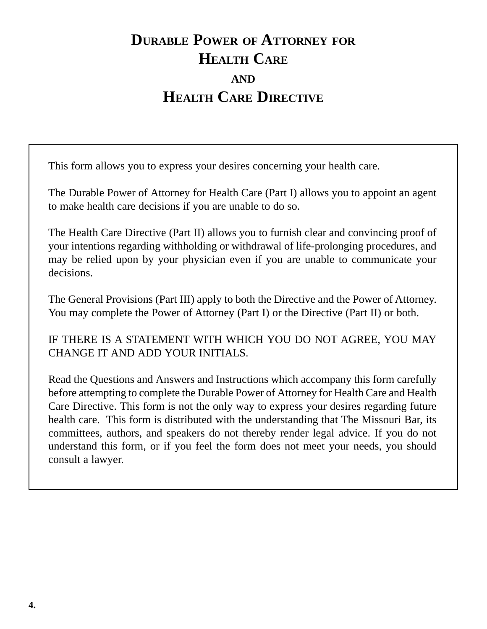## **DURABLE POWER OF ATTORNEY FOR HEALTH CARE AND HEALTH CARE DIRECTIVE**

This form allows you to express your desires concerning your health care.

The Durable Power of Attorney for Health Care (Part I) allows you to appoint an agent to make health care decisions if you are unable to do so.

The Health Care Directive (Part II) allows you to furnish clear and convincing proof of your intentions regarding withholding or withdrawal of life-prolonging procedures, and may be relied upon by your physician even if you are unable to communicate your decisions.

The General Provisions (Part III) apply to both the Directive and the Power of Attorney. You may complete the Power of Attorney (Part I) or the Directive (Part II) or both.

IF THERE IS A STATEMENT WITH WHICH YOU DO NOT AGREE, YOU MAY CHANGE IT AND ADD YOUR INITIALS.

Read the Questions and Answers and Instructions which accompany this form carefully before attempting to complete the Durable Power of Attorney for Health Care and Health Care Directive. This form is not the only way to express your desires regarding future health care. This form is distributed with the understanding that The Missouri Bar, its committees, authors, and speakers do not thereby render legal advice. If you do not understand this form, or if you feel the form does not meet your needs, you should consult a lawyer.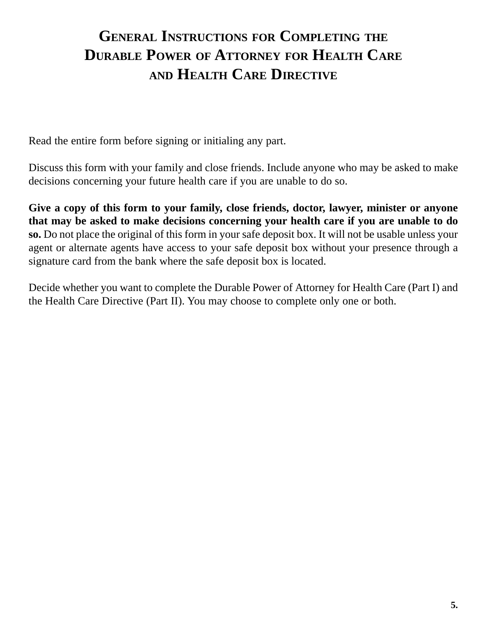## **GENERAL INSTRUCTIONS FOR COMPLETING THE DURABLE POWER OF ATTORNEY FOR HEALTH CARE AND HEALTH CARE DIRECTIVE**

Read the entire form before signing or initialing any part.

Discuss this form with your family and close friends. Include anyone who may be asked to make decisions concerning your future health care if you are unable to do so.

**Give a copy of this form to your family, close friends, doctor, lawyer, minister or anyone that may be asked to make decisions concerning your health care if you are unable to do so.** Do not place the original of this form in your safe deposit box. It will not be usable unless your agent or alternate agents have access to your safe deposit box without your presence through a signature card from the bank where the safe deposit box is located.

Decide whether you want to complete the Durable Power of Attorney for Health Care (Part I) and the Health Care Directive (Part II). You may choose to complete only one or both.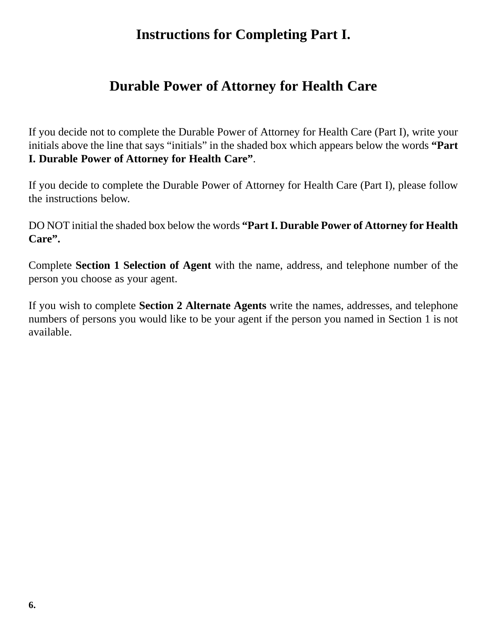#### **Instructions for Completing Part I.**

#### **Durable Power of Attorney for Health Care**

If you decide not to complete the Durable Power of Attorney for Health Care (Part I), write your initials above the line that says "initials" in the shaded box which appears below the words **"Part I. Durable Power of Attorney for Health Care"**.

If you decide to complete the Durable Power of Attorney for Health Care (Part I), please follow the instructions below.

DO NOT initial the shaded box below the words **"Part I. Durable Power of Attorney for Health Care".**

Complete **Section 1 Selection of Agent** with the name, address, and telephone number of the person you choose as your agent.

If you wish to complete **Section 2 Alternate Agents** write the names, addresses, and telephone numbers of persons you would like to be your agent if the person you named in Section 1 is not available.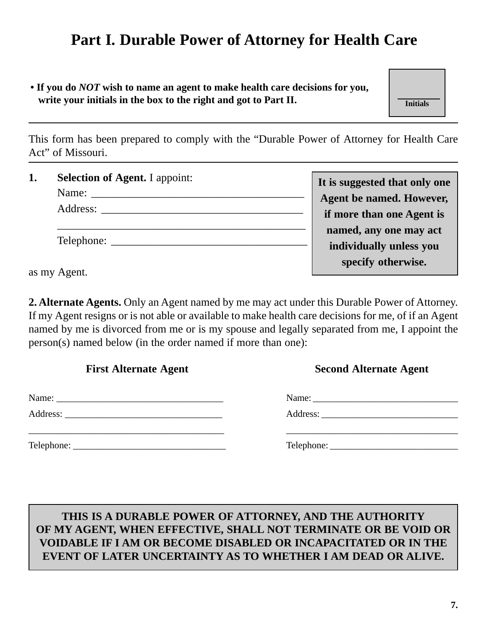## **Part I. Durable Power of Attorney for Health Care**

**• If you do** *NOT* **wish to name an agent to make health care decisions for you, write your initials in the box to the right and got to Part II.** 

| <b>Initials</b> |  |
|-----------------|--|

This form has been prepared to comply with the "Durable Power of Attorney for Health Care Act" of Missouri.

|  | <b>Selection of Agent.</b> I appoint: |                               |
|--|---------------------------------------|-------------------------------|
|  |                                       | It is suggested that only one |
|  | Name:                                 | Agent be named. However,      |
|  | Address:                              | if more than one Agent is     |
|  |                                       | named, any one may act        |
|  |                                       | individually unless you       |
|  | $\cos mx + \Lambda cosh$              | specify otherwise.            |

as my Agent.

**2. Alternate Agents.** Only an Agent named by me may act under this Durable Power of Attorney. If my Agent resigns or is not able or available to make health care decisions for me, of if an Agent named by me is divorced from me or is my spouse and legally separated from me, I appoint the person(s) named below (in the order named if more than one):

| <b>First Alternate Agent</b> | <b>Second Alternate Agent</b>                                                                                                                                                                                                                                                                                                                                                                                 |  |
|------------------------------|---------------------------------------------------------------------------------------------------------------------------------------------------------------------------------------------------------------------------------------------------------------------------------------------------------------------------------------------------------------------------------------------------------------|--|
|                              | Name: $\frac{1}{\sqrt{1-\frac{1}{2}}\sqrt{1-\frac{1}{2}}\sqrt{1-\frac{1}{2}}\sqrt{1-\frac{1}{2}}\sqrt{1-\frac{1}{2}}\sqrt{1-\frac{1}{2}}\sqrt{1-\frac{1}{2}}\sqrt{1-\frac{1}{2}}\sqrt{1-\frac{1}{2}}\sqrt{1-\frac{1}{2}}\sqrt{1-\frac{1}{2}}\sqrt{1-\frac{1}{2}}\sqrt{1-\frac{1}{2}}\sqrt{1-\frac{1}{2}}\sqrt{1-\frac{1}{2}}\sqrt{1-\frac{1}{2}}\sqrt{1-\frac{1}{2}}\sqrt{1-\frac{1}{2}}\sqrt{1-\frac{1}{2}}$ |  |
|                              |                                                                                                                                                                                                                                                                                                                                                                                                               |  |
|                              | $\text{Telephone:}\n \begin{array}{c}\n \begin{array}{c}\n \begin{array}{c}\n \begin{array}{c}\n \end{array}\n \end{array} \\ \text{Telephone:}\n \end{array}\n \end{array}$                                                                                                                                                                                                                                  |  |

#### **THIS IS A DURABLE POWER OF ATTORNEY, AND THE AUTHORITY OF MY AGENT, WHEN EFFECTIVE, SHALL NOT TERMINATE OR BE VOID OR VOIDABLE IF I AM OR BECOME DISABLED OR INCAPACITATED OR IN THE EVENT OF LATER UNCERTAINTY AS TO WHETHER I AM DEAD OR ALIVE.**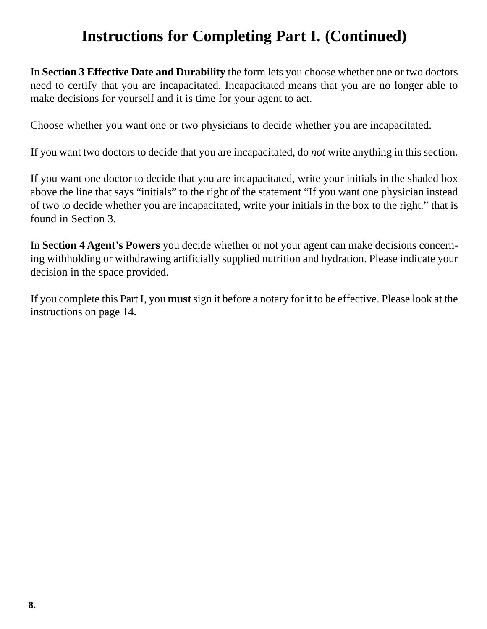## **Instructions for Completing Part I. (Continued)**

In **Section 3 Effective Date and Durability** the form lets you choose whether one or two doctors need to certify that you are incapacitated. Incapacitated means that you are no longer able to make decisions for yourself and it is time for your agent to act.

Choose whether you want one or two physicians to decide whether you are incapacitated.

If you want two doctors to decide that you are incapacitated, do *not* write anything in this section.

If you want one doctor to decide that you are incapacitated, write your initials in the shaded box above the line that says "initials" to the right of the statement "If you want one physician instead of two to decide whether you are incapacitated, write your initials in the box to the right." that is found in Section 3.

In **Section 4 Agent's Powers** you decide whether or not your agent can make decisions concerning withholding or withdrawing artificially supplied nutrition and hydration. Please indicate your decision in the space provided.

If you complete this Part I, you **must** sign it before a notary for it to be effective. Please look at the instructions on page 14.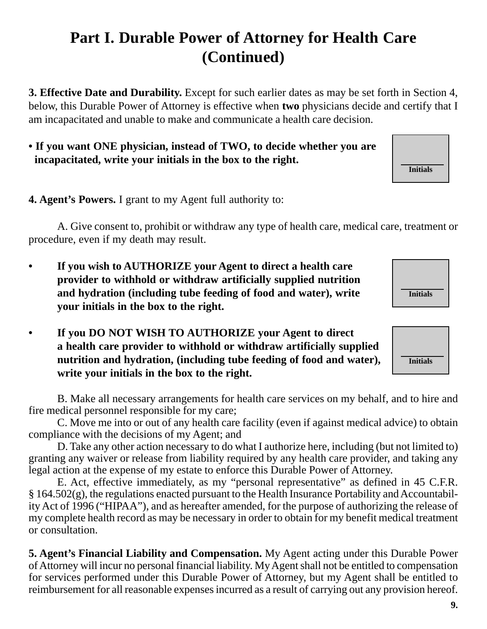## **Part I. Durable Power of Attorney for Health Care (Continued)**

**3. Effective Date and Durability.** Except for such earlier dates as may be set forth in Section 4, below, this Durable Power of Attorney is effective when **two** physicians decide and certify that I am incapacitated and unable to make and communicate a health care decision.

**• If you want ONE physician, instead of TWO, to decide whether you are incapacitated, write your initials in the box to the right.**

**4. Agent's Powers.** I grant to my Agent full authority to:

A. Give consent to, prohibit or withdraw any type of health care, medical care, treatment or procedure, even if my death may result.

- **If you wish to AUTHORIZE your Agent to direct a health care provider to withhold or withdraw artificially supplied nutrition and hydration (including tube feeding of food and water), write your initials in the box to the right.**
- **If you DO NOT WISH TO AUTHORIZE your Agent to direct a health care provider to withhold or withdraw artificially supplied nutrition and hydration, (including tube feeding of food and water), write your initials in the box to the right.**

B. Make all necessary arrangements for health care services on my behalf, and to hire and fire medical personnel responsible for my care;

C. Move me into or out of any health care facility (even if against medical advice) to obtain compliance with the decisions of my Agent; and

D. Take any other action necessary to do what I authorize here, including (but not limited to) granting any waiver or release from liability required by any health care provider, and taking any legal action at the expense of my estate to enforce this Durable Power of Attorney.

E. Act, effective immediately, as my "personal representative" as defined in 45 C.F.R.  $\S 164.502(g)$ , the regulations enacted pursuant to the Health Insurance Portability and Accountability Act of 1996 ("HIPAA"), and as hereafter amended, for the purpose of authorizing the release of my complete health record as may be necessary in order to obtain for my benefit medical treatment or consultation.

**5. Agent's Financial Liability and Compensation.** My Agent acting under this Durable Power of Attorney will incur no personal financial liability. My Agent shall not be entitled to compensation for services performed under this Durable Power of Attorney, but my Agent shall be entitled to reimbursement for all reasonable expenses incurred as a result of carrying out any provision hereof.

# **Initials**



**Initials**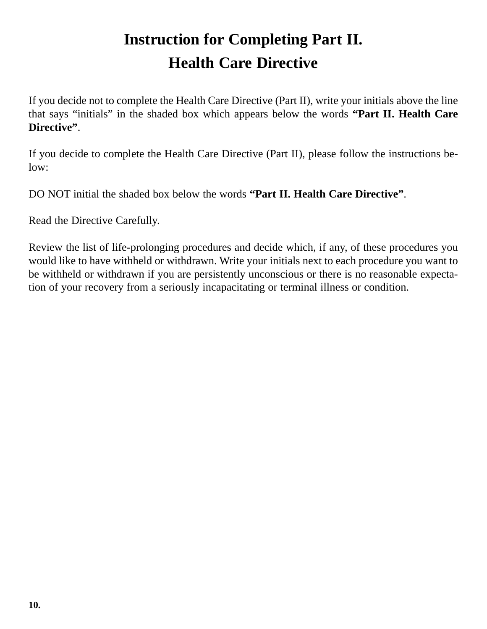## **Instruction for Completing Part II. Health Care Directive**

If you decide not to complete the Health Care Directive (Part II), write your initials above the line that says "initials" in the shaded box which appears below the words **"Part II. Health Care Directive"**.

If you decide to complete the Health Care Directive (Part II), please follow the instructions below:

DO NOT initial the shaded box below the words **"Part II. Health Care Directive"**.

Read the Directive Carefully.

Review the list of life-prolonging procedures and decide which, if any, of these procedures you would like to have withheld or withdrawn. Write your initials next to each procedure you want to be withheld or withdrawn if you are persistently unconscious or there is no reasonable expectation of your recovery from a seriously incapacitating or terminal illness or condition.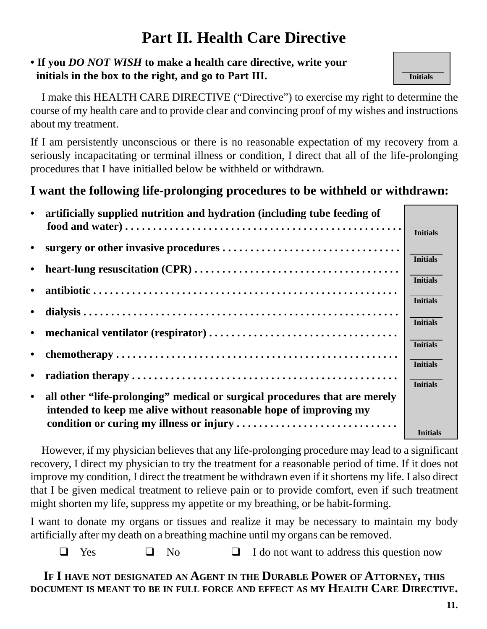## **Part II. Health Care Directive**

#### **• If you** *DO NOT WISH* **to make a health care directive, write your initials in the box to the right, and go to Part III.**

I make this HEALTH CARE DIRECTIVE ("Directive") to exercise my right to determine the course of my health care and to provide clear and convincing proof of my wishes and instructions about my treatment.

If I am persistently unconscious or there is no reasonable expectation of my recovery from a seriously incapacitating or terminal illness or condition, I direct that all of the life-prolonging procedures that I have initialled below be withheld or withdrawn.

#### **I want the following life-prolonging procedures to be withheld or withdrawn:**

| $\bullet$ | artificially supplied nutrition and hydration (including tube feeding of                                                                                                                    | <b>Initials</b>                    |
|-----------|---------------------------------------------------------------------------------------------------------------------------------------------------------------------------------------------|------------------------------------|
| $\bullet$ |                                                                                                                                                                                             |                                    |
| $\bullet$ |                                                                                                                                                                                             | <b>Initials</b>                    |
|           |                                                                                                                                                                                             | <b>Initials</b><br><b>Initials</b> |
|           |                                                                                                                                                                                             |                                    |
| $\bullet$ |                                                                                                                                                                                             | <b>Initials</b>                    |
|           |                                                                                                                                                                                             | <b>Initials</b><br><b>Initials</b> |
|           |                                                                                                                                                                                             | <b>Initials</b>                    |
| $\bullet$ | all other "life-prolonging" medical or surgical procedures that are merely<br>intended to keep me alive without reasonable hope of improving my<br>condition or curing my illness or injury | <b>Initials</b>                    |

However, if my physician believes that any life-prolonging procedure may lead to a significant recovery, I direct my physician to try the treatment for a reasonable period of time. If it does not improve my condition, I direct the treatment be withdrawn even if it shortens my life. I also direct that I be given medical treatment to relieve pain or to provide comfort, even if such treatment might shorten my life, suppress my appetite or my breathing, or be habit-forming.

I want to donate my organs or tissues and realize it may be necessary to maintain my body artificially after my death on a breathing machine until my organs can be removed.

 $\Box$  Yes  $\Box$  No  $\Box$  I do not want to address this question now

#### **IF I HAVE NOT DESIGNATED AN AGENT IN THE DURABLE POWER OF ATTORNEY, THIS DOCUMENT IS MEANT TO BE IN FULL FORCE AND EFFECT AS MY HEALTH CARE DIRECTIVE.**

**Initials**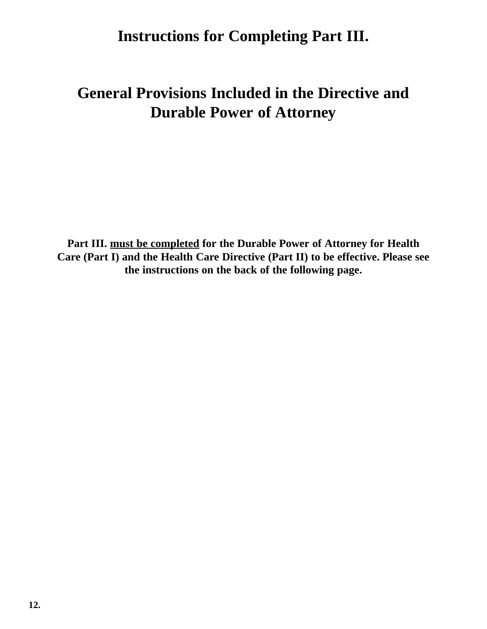## **Instructions for Completing Part III.**

## **General Provisions Included in the Directive and Durable Power of Attorney**

**Part III. must be completed for the Durable Power of Attorney for Health Care (Part I) and the Health Care Directive (Part II) to be effective. Please see the instructions on the back of the following page.**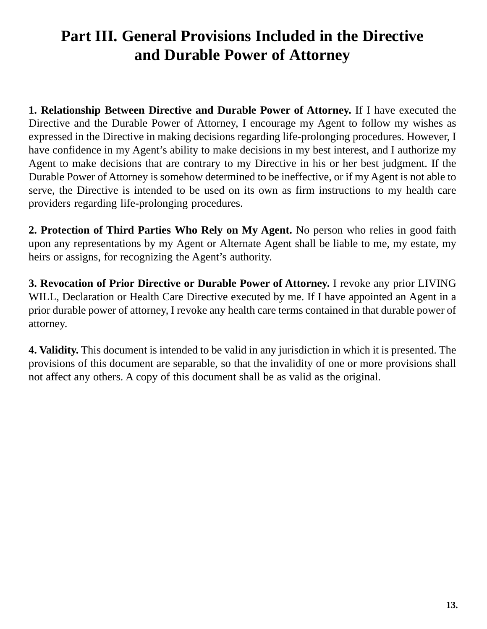## **Part III. General Provisions Included in the Directive and Durable Power of Attorney**

**1. Relationship Between Directive and Durable Power of Attorney.** If I have executed the Directive and the Durable Power of Attorney, I encourage my Agent to follow my wishes as expressed in the Directive in making decisions regarding life-prolonging procedures. However, I have confidence in my Agent's ability to make decisions in my best interest, and I authorize my Agent to make decisions that are contrary to my Directive in his or her best judgment. If the Durable Power of Attorney is somehow determined to be ineffective, or if my Agent is not able to serve, the Directive is intended to be used on its own as firm instructions to my health care providers regarding life-prolonging procedures.

**2. Protection of Third Parties Who Rely on My Agent.** No person who relies in good faith upon any representations by my Agent or Alternate Agent shall be liable to me, my estate, my heirs or assigns, for recognizing the Agent's authority.

**3. Revocation of Prior Directive or Durable Power of Attorney.** I revoke any prior LIVING WILL, Declaration or Health Care Directive executed by me. If I have appointed an Agent in a prior durable power of attorney, I revoke any health care terms contained in that durable power of attorney.

**4. Validity.** This document is intended to be valid in any jurisdiction in which it is presented. The provisions of this document are separable, so that the invalidity of one or more provisions shall not affect any others. A copy of this document shall be as valid as the original.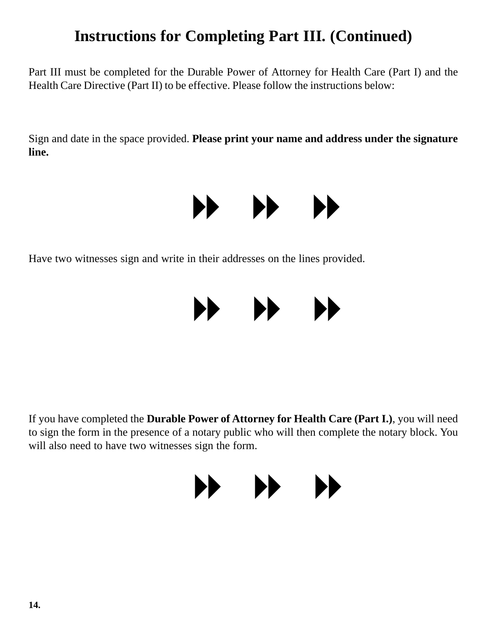## **Instructions for Completing Part III. (Continued)**

Part III must be completed for the Durable Power of Attorney for Health Care (Part I) and the Health Care Directive (Part II) to be effective. Please follow the instructions below:

Sign and date in the space provided. **Please print your name and address under the signature line.**



Have two witnesses sign and write in their addresses on the lines provided.



If you have completed the **Durable Power of Attorney for Health Care (Part I.)**, you will need to sign the form in the presence of a notary public who will then complete the notary block. You will also need to have two witnesses sign the form.

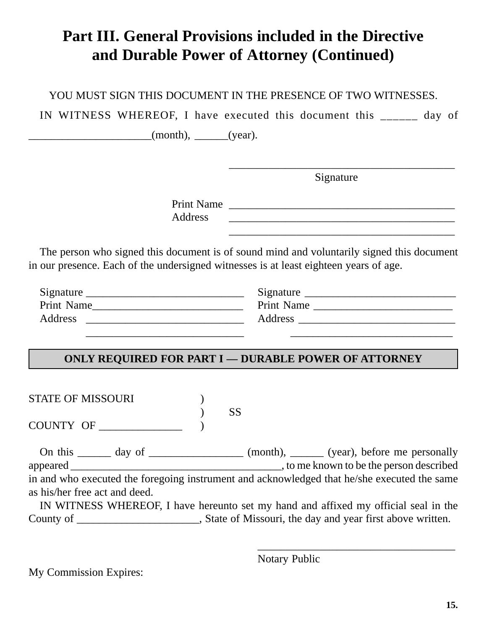## **Part III. General Provisions included in the Directive and Durable Power of Attorney (Continued)**

YOU MUST SIGN THIS DOCUMENT IN THE PRESENCE OF TWO WITNESSES.

IN WITNESS WHEREOF, I have executed this document this \_\_\_\_\_\_ day of

 $(month)$ ,  $(vear)$ .

Signature

\_\_\_\_\_\_\_\_\_\_\_\_\_\_\_\_\_\_\_\_\_\_\_\_\_\_\_\_\_\_\_\_\_\_\_\_\_\_\_\_

| <b>Print Name</b> |  |
|-------------------|--|
| Address           |  |
|                   |  |

The person who signed this document is of sound mind and voluntarily signed this document in our presence. Each of the undersigned witnesses is at least eighteen years of age.

| Signature  | Signature         |  |
|------------|-------------------|--|
| Print Name | <b>Print Name</b> |  |
| Address    | Address           |  |
|            |                   |  |

#### **ONLY REQUIRED FOR PART I — DURABLE POWER OF ATTORNEY**

| <b>STATE OF MISSOURI</b> |  |
|--------------------------|--|
|                          |  |
| <b>COUNTY OF</b>         |  |

On this \_\_\_\_\_\_ day of \_\_\_\_\_\_\_\_\_\_\_\_\_\_\_\_ (month), \_\_\_\_\_\_ (year), before me personally appeared **a** contract the set of the person described appeared **a** contract the person described in and who executed the foregoing instrument and acknowledged that he/she executed the same as his/her free act and deed.

IN WITNESS WHEREOF, I have hereunto set my hand and affixed my official seal in the County of \_\_\_\_\_\_\_\_\_\_\_\_\_\_\_\_\_\_\_\_\_, State of Missouri, the day and year first above written.

Notary Public

\_\_\_\_\_\_\_\_\_\_\_\_\_\_\_\_\_\_\_\_\_\_\_\_\_\_\_\_\_\_\_\_\_\_\_

My Commission Expires: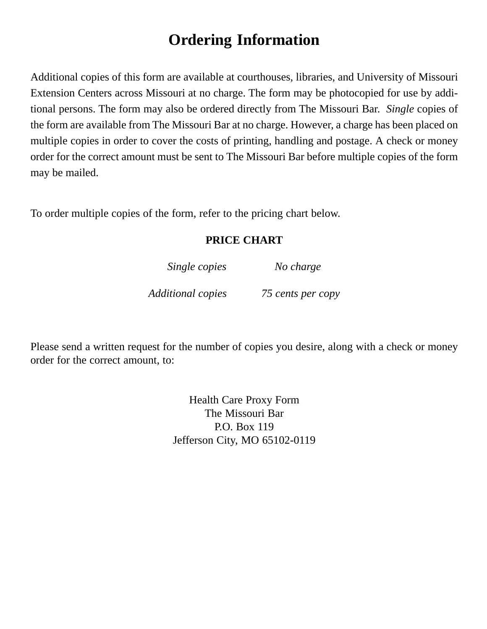## **Ordering Information**

Additional copies of this form are available at courthouses, libraries, and University of Missouri Extension Centers across Missouri at no charge. The form may be photocopied for use by additional persons. The form may also be ordered directly from The Missouri Bar. *Single* copies of the form are available from The Missouri Bar at no charge. However, a charge has been placed on multiple copies in order to cover the costs of printing, handling and postage. A check or money order for the correct amount must be sent to The Missouri Bar before multiple copies of the form may be mailed.

To order multiple copies of the form, refer to the pricing chart below.

#### **PRICE CHART**

*Single copies No charge Additional copies 75 cents per copy*

Please send a written request for the number of copies you desire, along with a check or money order for the correct amount, to:

> Health Care Proxy Form The Missouri Bar P.O. Box 119 Jefferson City, MO 65102-0119